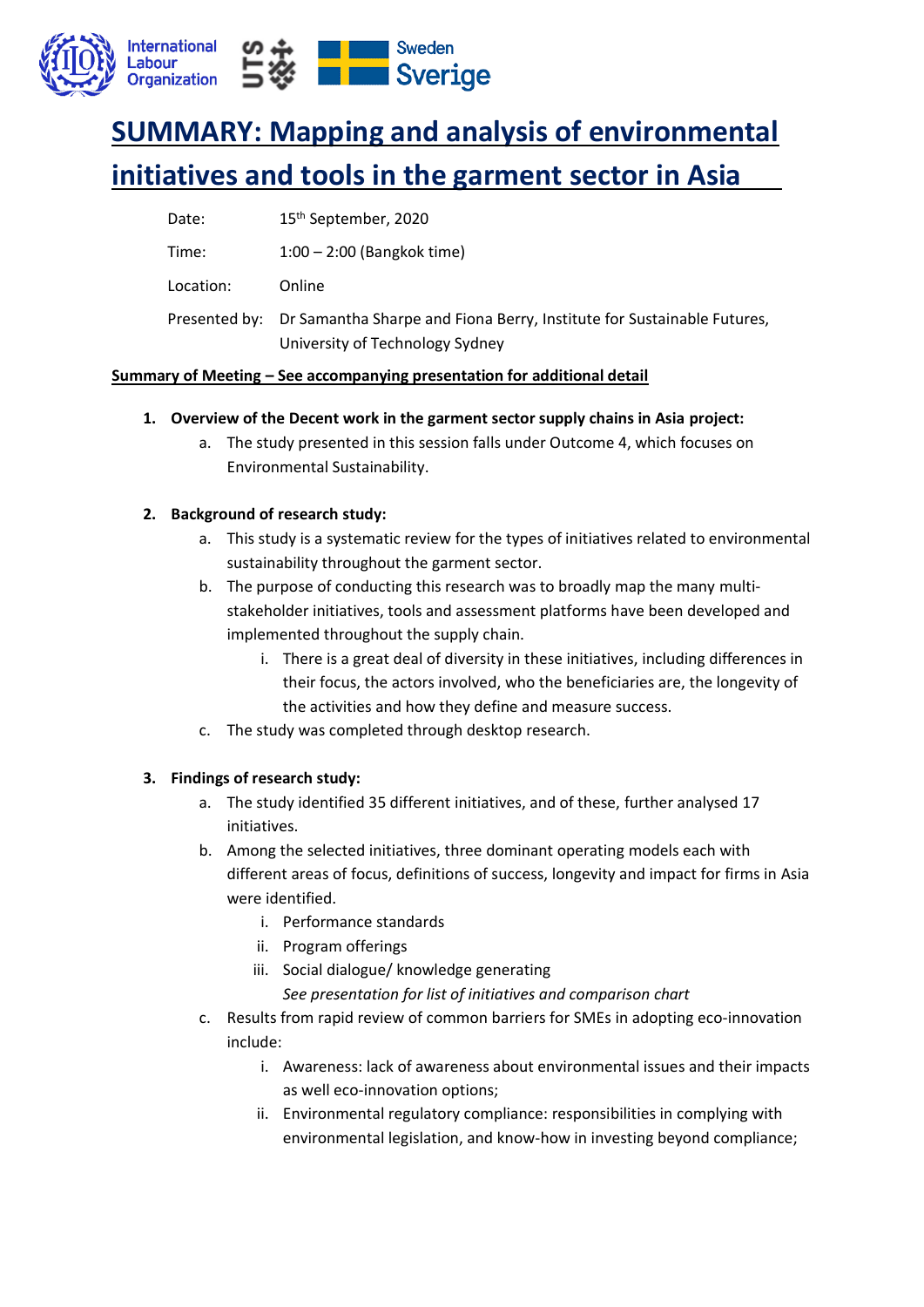

# **SUMMARY: Mapping and analysis of environmental initiatives and tools in the garment sector in Asia**

| 15 <sup>th</sup> September, 2020 |
|----------------------------------|
|                                  |

Time: 1:00 – 2:00 (Bangkok time)

Location: Online

Presented by: Dr Samantha Sharpe and Fiona Berry, Institute for Sustainable Futures, University of Technology Sydney

# **Summary of Meeting – See accompanying presentation for additional detail**

- **1. Overview of the Decent work in the garment sector supply chains in Asia project:**
	- a. The study presented in this session falls under Outcome 4, which focuses on Environmental Sustainability.

# **2. Background of research study:**

- a. This study is a systematic review for the types of initiatives related to environmental sustainability throughout the garment sector.
- b. The purpose of conducting this research was to broadly map the many multistakeholder initiatives, tools and assessment platforms have been developed and implemented throughout the supply chain.
	- i. There is a great deal of diversity in these initiatives, including differences in their focus, the actors involved, who the beneficiaries are, the longevity of the activities and how they define and measure success.
- c. The study was completed through desktop research.

### **3. Findings of research study:**

- a. The study identified 35 different initiatives, and of these, further analysed 17 initiatives.
- b. Among the selected initiatives, three dominant operating models each with different areas of focus, definitions of success, longevity and impact for firms in Asia were identified.
	- i. Performance standards
	- ii. Program offerings
	- iii. Social dialogue/ knowledge generating

*See presentation for list of initiatives and comparison chart*

- c. Results from rapid review of common barriers for SMEs in adopting eco-innovation include:
	- i. Awareness: lack of awareness about environmental issues and their impacts as well eco-innovation options;
	- ii. Environmental regulatory compliance: responsibilities in complying with environmental legislation, and know-how in investing beyond compliance;